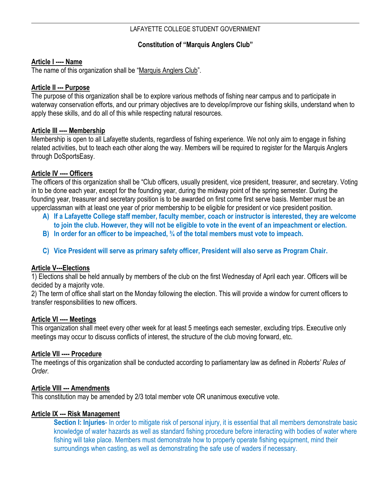# LAFAYETTE COLLEGE STUDENT GOVERNMENT

# **Constitution of "Marquis Anglers Club"**

#### **Article I ---- Name**

The name of this organization shall be "Marquis Anglers Club".

#### **Article II --- Purpose**

The purpose of this organization shall be to explore various methods of fishing near campus and to participate in waterway conservation efforts, and our primary objectives are to develop/improve our fishing skills, understand when to apply these skills, and do all of this while respecting natural resources.

#### **Article III ---- Membership**

Membership is open to all Lafayette students, regardless of fishing experience. We not only aim to engage in fishing related activities, but to teach each other along the way. Members will be required to register for the Marquis Anglers through DoSportsEasy.

## **Article IV ---- Officers**

The officers of this organization shall be "Club officers, usually president, vice president, treasurer, and secretary. Voting in to be done each year, except for the founding year, during the midway point of the spring semester. During the founding year, treasurer and secretary position is to be awarded on first come first serve basis. Member must be an upperclassman with at least one year of prior membership to be eligible for president or vice president position.

- **A) If a Lafayette College staff member, faculty member, coach or instructor is interested, they are welcome to join the club. However, they will not be eligible to vote in the event of an impeachment or election.**
- **B) In order for an officer to be impeached, ¾ of the total members must vote to impeach.**
- **C) Vice President will serve as primary safety officer, President will also serve as Program Chair.**

## **Article V---Elections**

1) Elections shall be held annually by members of the club on the first Wednesday of April each year. Officers will be decided by a majority vote.

2) The term of office shall start on the Monday following the election. This will provide a window for current officers to transfer responsibilities to new officers.

## **Article VI ---- Meetings**

This organization shall meet every other week for at least 5 meetings each semester, excluding trips. Executive only meetings may occur to discuss conflicts of interest, the structure of the club moving forward, etc.

## **Article VII ---- Procedure**

The meetings of this organization shall be conducted according to parliamentary law as defined in *Roberts' Rules of Order*.

## **Article VIII --- Amendments**

This constitution may be amended by 2/3 total member vote OR unanimous executive vote.

## **Article IX --- Risk Management**

**Section I: Injuries**- In order to mitigate risk of personal injury, it is essential that all members demonstrate basic knowledge of water hazards as well as standard fishing procedure before interacting with bodies of water where fishing will take place. Members must demonstrate how to properly operate fishing equipment, mind their surroundings when casting, as well as demonstrating the safe use of waders if necessary.